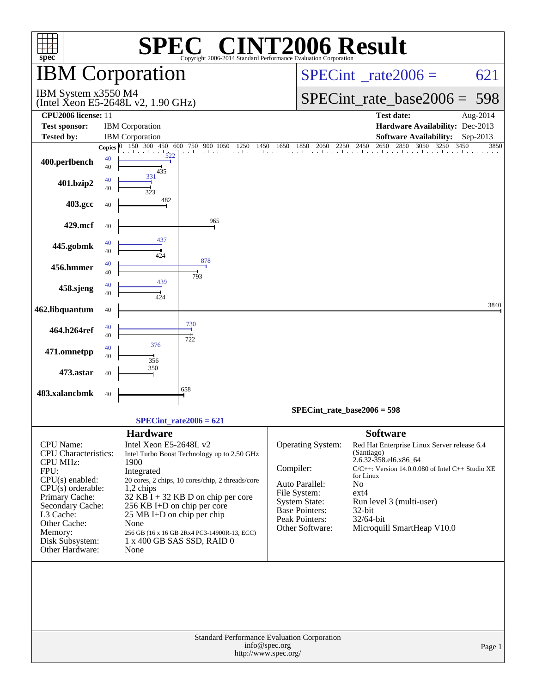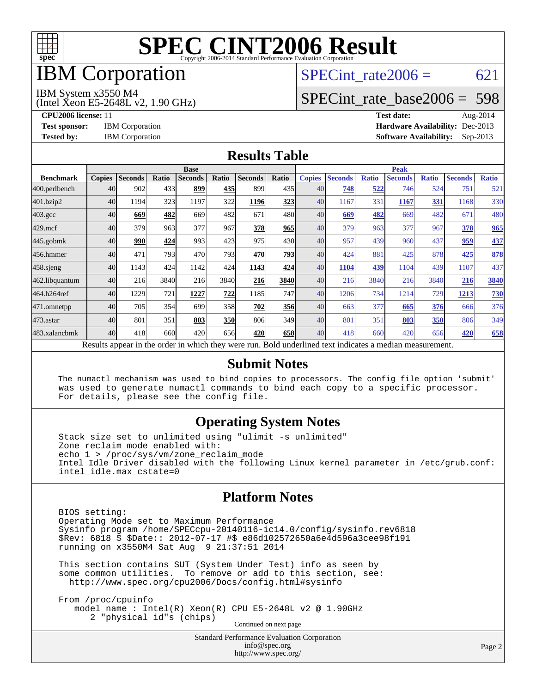

## **IBM** Corporation

## SPECint rate $2006 = 621$

#### IBM System x3550 M4

(Intel Xeon E5-2648L v2, 1.90 GHz)

[SPECint\\_rate\\_base2006 =](http://www.spec.org/auto/cpu2006/Docs/result-fields.html#SPECintratebase2006) 598

**[CPU2006 license:](http://www.spec.org/auto/cpu2006/Docs/result-fields.html#CPU2006license)** 11 **[Test date:](http://www.spec.org/auto/cpu2006/Docs/result-fields.html#Testdate)** Aug-2014 **[Test sponsor:](http://www.spec.org/auto/cpu2006/Docs/result-fields.html#Testsponsor)** IBM Corporation **[Hardware Availability:](http://www.spec.org/auto/cpu2006/Docs/result-fields.html#HardwareAvailability)** Dec-2013 **[Tested by:](http://www.spec.org/auto/cpu2006/Docs/result-fields.html#Testedby)** IBM Corporation **[Software Availability:](http://www.spec.org/auto/cpu2006/Docs/result-fields.html#SoftwareAvailability)** Sep-2013

#### **[Results Table](http://www.spec.org/auto/cpu2006/Docs/result-fields.html#ResultsTable)**

|                    | <b>Base</b>   |                |       |                                                                                                          |            |                |       | <b>Peak</b>   |                |              |                |              |                |              |
|--------------------|---------------|----------------|-------|----------------------------------------------------------------------------------------------------------|------------|----------------|-------|---------------|----------------|--------------|----------------|--------------|----------------|--------------|
| <b>Benchmark</b>   | <b>Copies</b> | <b>Seconds</b> | Ratio | <b>Seconds</b>                                                                                           | Ratio      | <b>Seconds</b> | Ratio | <b>Copies</b> | <b>Seconds</b> | <b>Ratio</b> | <b>Seconds</b> | <b>Ratio</b> | <b>Seconds</b> | <b>Ratio</b> |
| 400.perlbench      | 40            | 902            | 433   | 899                                                                                                      | 435        | 899            | 435   | 40            | 748            | 522          | 746            | 524          | 751            | 521          |
| 401.bzip2          | 40            | 1194           | 323   | 1197                                                                                                     | 322        | 1196           | 323   | 40            | 1167           | 331          | 1167           | 331          | 1168           | 330          |
| $403.\mathrm{gcc}$ | 40            | 669            | 482   | 669                                                                                                      | 482        | 671            | 480   | 40            | 669            | 482          | 669            | 482          | 671            | 480          |
| $429$ .mcf         | 40            | 379            | 963   | 377                                                                                                      | 967        | 378            | 965   | 40            | 379            | 963          | 377            | 967          | 378            | 965          |
| $445$ .gobmk       | 40            | 990            | 424   | 993                                                                                                      | 423        | 975            | 430   | 40            | 957            | 439          | 960            | 437          | 959            | 437          |
| 456.hmmer          | 40            | 471            | 793   | 470                                                                                                      | 793        | 470            | 793   | 40            | 424            | 881          | 425            | 878          | 425            | 878          |
| $458$ .sjeng       | 40            | 1143           | 424   | 1142                                                                                                     | 424        | 1143           | 424   | 40            | 1104           | 439          | 1104           | 439          | 1107           | 437          |
| 462.libquantum     | 40            | 216            | 3840  | 216                                                                                                      | 3840       | 216            | 3840  | 40            | 216            | 3840         | 216            | 3840         | 216            | 3840         |
| 464.h264ref        | 40            | 1229           | 721   | 1227                                                                                                     | 722        | 1185           | 747   | 40            | 1206           | 734          | 1214           | 729          | 1213           | <b>730</b>   |
| 471.omnetpp        | 40            | 705            | 354   | 699                                                                                                      | 358        | 702            | 356   | 40            | 663            | 377          | 665            | 376          | 666            | 376          |
| 473.astar          | 40            | 801            | 351   | 803                                                                                                      | <u>350</u> | 806            | 349   | 40            | 801            | 351          | 803            | 350          | 806            | 349          |
| 483.xalancbmk      | 40            | 418            | 660   | 420                                                                                                      | 656        | 420            | 658   | 40            | 418            | 660          | 420            | 656          | 420            | 658          |
|                    |               |                |       | Results appear in the order in which they were run. Bold underlined text indicates a median measurement. |            |                |       |               |                |              |                |              |                |              |

#### **[Submit Notes](http://www.spec.org/auto/cpu2006/Docs/result-fields.html#SubmitNotes)**

 The numactl mechanism was used to bind copies to processors. The config file option 'submit' was used to generate numactl commands to bind each copy to a specific processor. For details, please see the config file.

#### **[Operating System Notes](http://www.spec.org/auto/cpu2006/Docs/result-fields.html#OperatingSystemNotes)**

 Stack size set to unlimited using "ulimit -s unlimited" Zone reclaim mode enabled with: echo 1 > /proc/sys/vm/zone\_reclaim\_mode Intel Idle Driver disabled with the following Linux kernel parameter in /etc/grub.conf: intel\_idle.max\_cstate=0

#### **[Platform Notes](http://www.spec.org/auto/cpu2006/Docs/result-fields.html#PlatformNotes)**

 BIOS setting: Operating Mode set to Maximum Performance Sysinfo program /home/SPECcpu-20140116-ic14.0/config/sysinfo.rev6818 \$Rev: 6818 \$ \$Date:: 2012-07-17 #\$ e86d102572650a6e4d596a3cee98f191 running on x3550M4 Sat Aug 9 21:37:51 2014

 This section contains SUT (System Under Test) info as seen by some common utilities. To remove or add to this section, see: <http://www.spec.org/cpu2006/Docs/config.html#sysinfo>

 From /proc/cpuinfo model name : Intel(R) Xeon(R) CPU E5-2648L v2 @ 1.90GHz 2 "physical id"s (chips) Continued on next page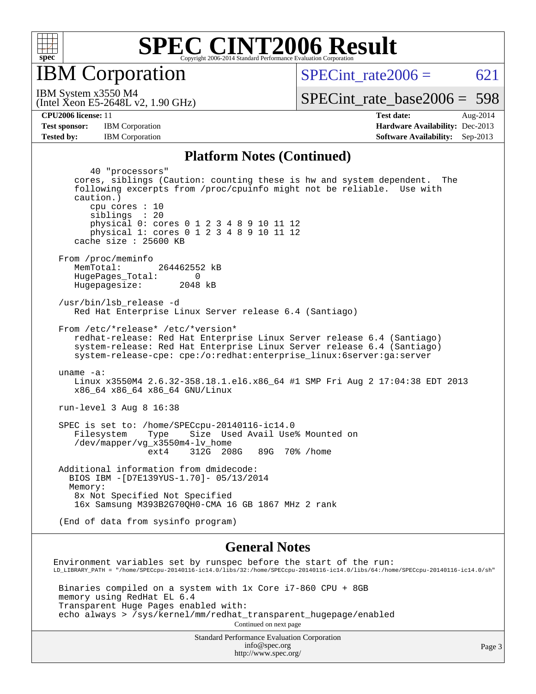

**IBM** Corporation

SPECint rate $2006 = 621$ 

(Intel Xeon E5-2648L v2, 1.90 GHz) IBM System x3550 M4

[SPECint\\_rate\\_base2006 =](http://www.spec.org/auto/cpu2006/Docs/result-fields.html#SPECintratebase2006) 598

**[Tested by:](http://www.spec.org/auto/cpu2006/Docs/result-fields.html#Testedby)** IBM Corporation **[Software Availability:](http://www.spec.org/auto/cpu2006/Docs/result-fields.html#SoftwareAvailability)** Sep-2013

**[CPU2006 license:](http://www.spec.org/auto/cpu2006/Docs/result-fields.html#CPU2006license)** 11 **[Test date:](http://www.spec.org/auto/cpu2006/Docs/result-fields.html#Testdate)** Aug-2014 **[Test sponsor:](http://www.spec.org/auto/cpu2006/Docs/result-fields.html#Testsponsor)** IBM Corporation **[Hardware Availability:](http://www.spec.org/auto/cpu2006/Docs/result-fields.html#HardwareAvailability)** Dec-2013

#### **[Platform Notes \(Continued\)](http://www.spec.org/auto/cpu2006/Docs/result-fields.html#PlatformNotes)**

 40 "processors" cores, siblings (Caution: counting these is hw and system dependent. The following excerpts from /proc/cpuinfo might not be reliable. Use with caution.) cpu cores : 10 siblings : 20 physical 0: cores 0 1 2 3 4 8 9 10 11 12 physical 1: cores 0 1 2 3 4 8 9 10 11 12 cache size : 25600 KB From /proc/meminfo MemTotal: 264462552 kB HugePages\_Total: 0<br>Hugepagesize: 2048 kB Hugepagesize: /usr/bin/lsb\_release -d Red Hat Enterprise Linux Server release 6.4 (Santiago) From /etc/\*release\* /etc/\*version\* redhat-release: Red Hat Enterprise Linux Server release 6.4 (Santiago) system-release: Red Hat Enterprise Linux Server release 6.4 (Santiago) system-release-cpe: cpe:/o:redhat:enterprise\_linux:6server:ga:server uname -a: Linux x3550M4 2.6.32-358.18.1.el6.x86\_64 #1 SMP Fri Aug 2 17:04:38 EDT 2013 x86\_64 x86\_64 x86\_64 GNU/Linux run-level 3 Aug 8 16:38 SPEC is set to: /home/SPECcpu-20140116-ic14.0 Filesystem Type Size Used Avail Use% Mounted on /dev/mapper/vg\_x3550m4-lv\_home ext4 312G 208G 89G 70% /home Additional information from dmidecode: BIOS IBM -[D7E139YUS-1.70]- 05/13/2014 Memory: 8x Not Specified Not Specified 16x Samsung M393B2G70QH0-CMA 16 GB 1867 MHz 2 rank (End of data from sysinfo program) **[General Notes](http://www.spec.org/auto/cpu2006/Docs/result-fields.html#GeneralNotes)**

Environment variables set by runspec before the start of the run: LD\_LIBRARY\_PATH = "/home/SPECcpu-20140116-ic14.0/libs/32:/home/SPECcpu-20140116-ic14.0/libs/64:/home/SPECcpu-20140116-ic14.0/sh"

 Binaries compiled on a system with 1x Core i7-860 CPU + 8GB memory using RedHat EL 6.4 Transparent Huge Pages enabled with: echo always > /sys/kernel/mm/redhat\_transparent\_hugepage/enabled Continued on next page

> Standard Performance Evaluation Corporation [info@spec.org](mailto:info@spec.org) <http://www.spec.org/>

Page 3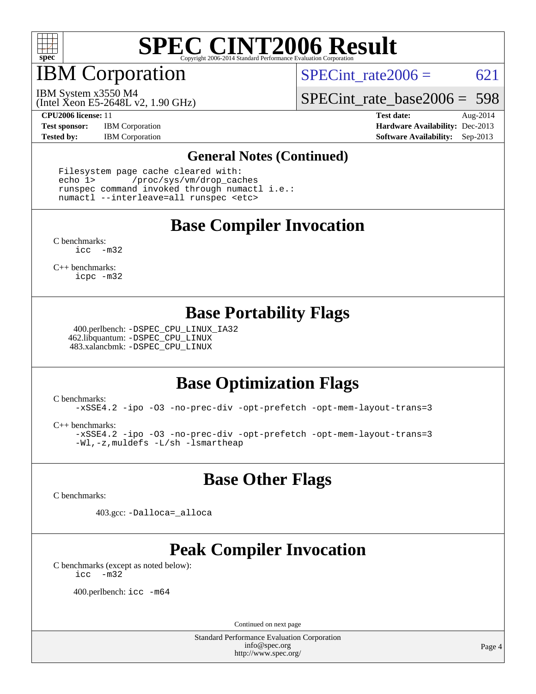

IBM Corporation

SPECint rate  $2006 = 621$ 

(Intel Xeon E5-2648L v2, 1.90 GHz) IBM System x3550 M4

[SPECint\\_rate\\_base2006 =](http://www.spec.org/auto/cpu2006/Docs/result-fields.html#SPECintratebase2006) 598

**[Test sponsor:](http://www.spec.org/auto/cpu2006/Docs/result-fields.html#Testsponsor)** IBM Corporation **[Hardware Availability:](http://www.spec.org/auto/cpu2006/Docs/result-fields.html#HardwareAvailability)** Dec-2013

**[CPU2006 license:](http://www.spec.org/auto/cpu2006/Docs/result-fields.html#CPU2006license)** 11 **[Test date:](http://www.spec.org/auto/cpu2006/Docs/result-fields.html#Testdate)** Aug-2014 **[Tested by:](http://www.spec.org/auto/cpu2006/Docs/result-fields.html#Testedby)** IBM Corporation **[Software Availability:](http://www.spec.org/auto/cpu2006/Docs/result-fields.html#SoftwareAvailability)** Sep-2013

#### **[General Notes \(Continued\)](http://www.spec.org/auto/cpu2006/Docs/result-fields.html#GeneralNotes)**

 Filesystem page cache cleared with: echo 1> /proc/sys/vm/drop\_caches runspec command invoked through numactl i.e.: numactl --interleave=all runspec <etc>

### **[Base Compiler Invocation](http://www.spec.org/auto/cpu2006/Docs/result-fields.html#BaseCompilerInvocation)**

[C benchmarks](http://www.spec.org/auto/cpu2006/Docs/result-fields.html#Cbenchmarks): [icc -m32](http://www.spec.org/cpu2006/results/res2014q3/cpu2006-20140811-30907.flags.html#user_CCbase_intel_icc_5ff4a39e364c98233615fdd38438c6f2)

[C++ benchmarks:](http://www.spec.org/auto/cpu2006/Docs/result-fields.html#CXXbenchmarks) [icpc -m32](http://www.spec.org/cpu2006/results/res2014q3/cpu2006-20140811-30907.flags.html#user_CXXbase_intel_icpc_4e5a5ef1a53fd332b3c49e69c3330699)

#### **[Base Portability Flags](http://www.spec.org/auto/cpu2006/Docs/result-fields.html#BasePortabilityFlags)**

 400.perlbench: [-DSPEC\\_CPU\\_LINUX\\_IA32](http://www.spec.org/cpu2006/results/res2014q3/cpu2006-20140811-30907.flags.html#b400.perlbench_baseCPORTABILITY_DSPEC_CPU_LINUX_IA32) 462.libquantum: [-DSPEC\\_CPU\\_LINUX](http://www.spec.org/cpu2006/results/res2014q3/cpu2006-20140811-30907.flags.html#b462.libquantum_baseCPORTABILITY_DSPEC_CPU_LINUX) 483.xalancbmk: [-DSPEC\\_CPU\\_LINUX](http://www.spec.org/cpu2006/results/res2014q3/cpu2006-20140811-30907.flags.html#b483.xalancbmk_baseCXXPORTABILITY_DSPEC_CPU_LINUX)

### **[Base Optimization Flags](http://www.spec.org/auto/cpu2006/Docs/result-fields.html#BaseOptimizationFlags)**

[C benchmarks](http://www.spec.org/auto/cpu2006/Docs/result-fields.html#Cbenchmarks):

[-xSSE4.2](http://www.spec.org/cpu2006/results/res2014q3/cpu2006-20140811-30907.flags.html#user_CCbase_f-xSSE42_f91528193cf0b216347adb8b939d4107) [-ipo](http://www.spec.org/cpu2006/results/res2014q3/cpu2006-20140811-30907.flags.html#user_CCbase_f-ipo) [-O3](http://www.spec.org/cpu2006/results/res2014q3/cpu2006-20140811-30907.flags.html#user_CCbase_f-O3) [-no-prec-div](http://www.spec.org/cpu2006/results/res2014q3/cpu2006-20140811-30907.flags.html#user_CCbase_f-no-prec-div) [-opt-prefetch](http://www.spec.org/cpu2006/results/res2014q3/cpu2006-20140811-30907.flags.html#user_CCbase_f-opt-prefetch) [-opt-mem-layout-trans=3](http://www.spec.org/cpu2006/results/res2014q3/cpu2006-20140811-30907.flags.html#user_CCbase_f-opt-mem-layout-trans_a7b82ad4bd7abf52556d4961a2ae94d5)

[C++ benchmarks:](http://www.spec.org/auto/cpu2006/Docs/result-fields.html#CXXbenchmarks)

[-xSSE4.2](http://www.spec.org/cpu2006/results/res2014q3/cpu2006-20140811-30907.flags.html#user_CXXbase_f-xSSE42_f91528193cf0b216347adb8b939d4107) [-ipo](http://www.spec.org/cpu2006/results/res2014q3/cpu2006-20140811-30907.flags.html#user_CXXbase_f-ipo) [-O3](http://www.spec.org/cpu2006/results/res2014q3/cpu2006-20140811-30907.flags.html#user_CXXbase_f-O3) [-no-prec-div](http://www.spec.org/cpu2006/results/res2014q3/cpu2006-20140811-30907.flags.html#user_CXXbase_f-no-prec-div) [-opt-prefetch](http://www.spec.org/cpu2006/results/res2014q3/cpu2006-20140811-30907.flags.html#user_CXXbase_f-opt-prefetch) [-opt-mem-layout-trans=3](http://www.spec.org/cpu2006/results/res2014q3/cpu2006-20140811-30907.flags.html#user_CXXbase_f-opt-mem-layout-trans_a7b82ad4bd7abf52556d4961a2ae94d5) [-Wl,-z,muldefs](http://www.spec.org/cpu2006/results/res2014q3/cpu2006-20140811-30907.flags.html#user_CXXbase_link_force_multiple1_74079c344b956b9658436fd1b6dd3a8a) [-L/sh -lsmartheap](http://www.spec.org/cpu2006/results/res2014q3/cpu2006-20140811-30907.flags.html#user_CXXbase_SmartHeap_32f6c82aa1ed9c52345d30cf6e4a0499)

### **[Base Other Flags](http://www.spec.org/auto/cpu2006/Docs/result-fields.html#BaseOtherFlags)**

[C benchmarks](http://www.spec.org/auto/cpu2006/Docs/result-fields.html#Cbenchmarks):

403.gcc: [-Dalloca=\\_alloca](http://www.spec.org/cpu2006/results/res2014q3/cpu2006-20140811-30907.flags.html#b403.gcc_baseEXTRA_CFLAGS_Dalloca_be3056838c12de2578596ca5467af7f3)

## **[Peak Compiler Invocation](http://www.spec.org/auto/cpu2006/Docs/result-fields.html#PeakCompilerInvocation)**

[C benchmarks \(except as noted below\)](http://www.spec.org/auto/cpu2006/Docs/result-fields.html#Cbenchmarksexceptasnotedbelow): [icc -m32](http://www.spec.org/cpu2006/results/res2014q3/cpu2006-20140811-30907.flags.html#user_CCpeak_intel_icc_5ff4a39e364c98233615fdd38438c6f2)

400.perlbench: [icc -m64](http://www.spec.org/cpu2006/results/res2014q3/cpu2006-20140811-30907.flags.html#user_peakCCLD400_perlbench_intel_icc_64bit_bda6cc9af1fdbb0edc3795bac97ada53)

Continued on next page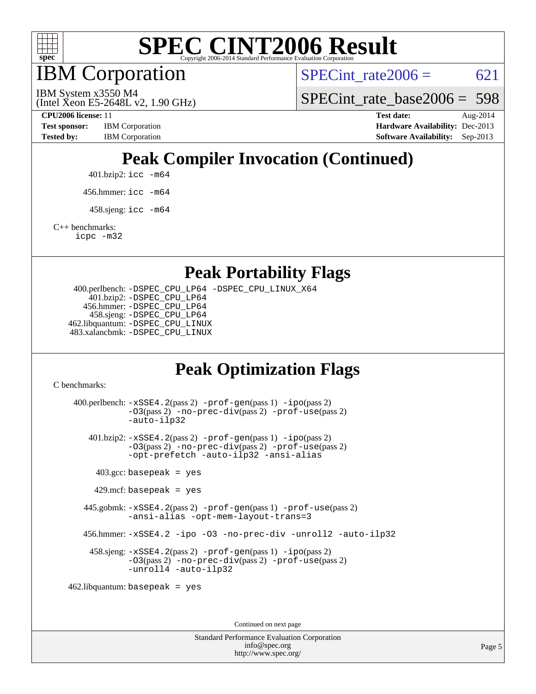

IBM Corporation

SPECint rate $2006 = 621$ 

(Intel Xeon E5-2648L v2, 1.90 GHz) IBM System x3550 M4

SPECint rate base  $2006 = 598$ 

**[Test sponsor:](http://www.spec.org/auto/cpu2006/Docs/result-fields.html#Testsponsor)** IBM Corporation **[Hardware Availability:](http://www.spec.org/auto/cpu2006/Docs/result-fields.html#HardwareAvailability)** Dec-2013

**[CPU2006 license:](http://www.spec.org/auto/cpu2006/Docs/result-fields.html#CPU2006license)** 11 **[Test date:](http://www.spec.org/auto/cpu2006/Docs/result-fields.html#Testdate)** Aug-2014 **[Tested by:](http://www.spec.org/auto/cpu2006/Docs/result-fields.html#Testedby)** IBM Corporation **[Software Availability:](http://www.spec.org/auto/cpu2006/Docs/result-fields.html#SoftwareAvailability)** Sep-2013

## **[Peak Compiler Invocation \(Continued\)](http://www.spec.org/auto/cpu2006/Docs/result-fields.html#PeakCompilerInvocation)**

401.bzip2: [icc -m64](http://www.spec.org/cpu2006/results/res2014q3/cpu2006-20140811-30907.flags.html#user_peakCCLD401_bzip2_intel_icc_64bit_bda6cc9af1fdbb0edc3795bac97ada53)

456.hmmer: [icc -m64](http://www.spec.org/cpu2006/results/res2014q3/cpu2006-20140811-30907.flags.html#user_peakCCLD456_hmmer_intel_icc_64bit_bda6cc9af1fdbb0edc3795bac97ada53)

 $458 \text{.}$ sjeng: icc  $-\text{m64}$ 

[C++ benchmarks:](http://www.spec.org/auto/cpu2006/Docs/result-fields.html#CXXbenchmarks)

[icpc -m32](http://www.spec.org/cpu2006/results/res2014q3/cpu2006-20140811-30907.flags.html#user_CXXpeak_intel_icpc_4e5a5ef1a53fd332b3c49e69c3330699)

**[Peak Portability Flags](http://www.spec.org/auto/cpu2006/Docs/result-fields.html#PeakPortabilityFlags)**

 400.perlbench: [-DSPEC\\_CPU\\_LP64](http://www.spec.org/cpu2006/results/res2014q3/cpu2006-20140811-30907.flags.html#b400.perlbench_peakCPORTABILITY_DSPEC_CPU_LP64) [-DSPEC\\_CPU\\_LINUX\\_X64](http://www.spec.org/cpu2006/results/res2014q3/cpu2006-20140811-30907.flags.html#b400.perlbench_peakCPORTABILITY_DSPEC_CPU_LINUX_X64) 401.bzip2: [-DSPEC\\_CPU\\_LP64](http://www.spec.org/cpu2006/results/res2014q3/cpu2006-20140811-30907.flags.html#suite_peakCPORTABILITY401_bzip2_DSPEC_CPU_LP64) 456.hmmer: [-DSPEC\\_CPU\\_LP64](http://www.spec.org/cpu2006/results/res2014q3/cpu2006-20140811-30907.flags.html#suite_peakCPORTABILITY456_hmmer_DSPEC_CPU_LP64) 458.sjeng: [-DSPEC\\_CPU\\_LP64](http://www.spec.org/cpu2006/results/res2014q3/cpu2006-20140811-30907.flags.html#suite_peakCPORTABILITY458_sjeng_DSPEC_CPU_LP64) 462.libquantum: [-DSPEC\\_CPU\\_LINUX](http://www.spec.org/cpu2006/results/res2014q3/cpu2006-20140811-30907.flags.html#b462.libquantum_peakCPORTABILITY_DSPEC_CPU_LINUX) 483.xalancbmk: [-DSPEC\\_CPU\\_LINUX](http://www.spec.org/cpu2006/results/res2014q3/cpu2006-20140811-30907.flags.html#b483.xalancbmk_peakCXXPORTABILITY_DSPEC_CPU_LINUX)

### **[Peak Optimization Flags](http://www.spec.org/auto/cpu2006/Docs/result-fields.html#PeakOptimizationFlags)**

[C benchmarks](http://www.spec.org/auto/cpu2006/Docs/result-fields.html#Cbenchmarks):

 400.perlbench: [-xSSE4.2](http://www.spec.org/cpu2006/results/res2014q3/cpu2006-20140811-30907.flags.html#user_peakPASS2_CFLAGSPASS2_LDCFLAGS400_perlbench_f-xSSE42_f91528193cf0b216347adb8b939d4107)(pass 2) [-prof-gen](http://www.spec.org/cpu2006/results/res2014q3/cpu2006-20140811-30907.flags.html#user_peakPASS1_CFLAGSPASS1_LDCFLAGS400_perlbench_prof_gen_e43856698f6ca7b7e442dfd80e94a8fc)(pass 1) [-ipo](http://www.spec.org/cpu2006/results/res2014q3/cpu2006-20140811-30907.flags.html#user_peakPASS2_CFLAGSPASS2_LDCFLAGS400_perlbench_f-ipo)(pass 2) [-O3](http://www.spec.org/cpu2006/results/res2014q3/cpu2006-20140811-30907.flags.html#user_peakPASS2_CFLAGSPASS2_LDCFLAGS400_perlbench_f-O3)(pass 2) [-no-prec-div](http://www.spec.org/cpu2006/results/res2014q3/cpu2006-20140811-30907.flags.html#user_peakPASS2_CFLAGSPASS2_LDCFLAGS400_perlbench_f-no-prec-div)(pass 2) [-prof-use](http://www.spec.org/cpu2006/results/res2014q3/cpu2006-20140811-30907.flags.html#user_peakPASS2_CFLAGSPASS2_LDCFLAGS400_perlbench_prof_use_bccf7792157ff70d64e32fe3e1250b55)(pass 2) [-auto-ilp32](http://www.spec.org/cpu2006/results/res2014q3/cpu2006-20140811-30907.flags.html#user_peakCOPTIMIZE400_perlbench_f-auto-ilp32) 401.bzip2: [-xSSE4.2](http://www.spec.org/cpu2006/results/res2014q3/cpu2006-20140811-30907.flags.html#user_peakPASS2_CFLAGSPASS2_LDCFLAGS401_bzip2_f-xSSE42_f91528193cf0b216347adb8b939d4107)(pass 2) [-prof-gen](http://www.spec.org/cpu2006/results/res2014q3/cpu2006-20140811-30907.flags.html#user_peakPASS1_CFLAGSPASS1_LDCFLAGS401_bzip2_prof_gen_e43856698f6ca7b7e442dfd80e94a8fc)(pass 1) [-ipo](http://www.spec.org/cpu2006/results/res2014q3/cpu2006-20140811-30907.flags.html#user_peakPASS2_CFLAGSPASS2_LDCFLAGS401_bzip2_f-ipo)(pass 2) [-O3](http://www.spec.org/cpu2006/results/res2014q3/cpu2006-20140811-30907.flags.html#user_peakPASS2_CFLAGSPASS2_LDCFLAGS401_bzip2_f-O3)(pass 2) [-no-prec-div](http://www.spec.org/cpu2006/results/res2014q3/cpu2006-20140811-30907.flags.html#user_peakPASS2_CFLAGSPASS2_LDCFLAGS401_bzip2_f-no-prec-div)(pass 2) [-prof-use](http://www.spec.org/cpu2006/results/res2014q3/cpu2006-20140811-30907.flags.html#user_peakPASS2_CFLAGSPASS2_LDCFLAGS401_bzip2_prof_use_bccf7792157ff70d64e32fe3e1250b55)(pass 2) [-opt-prefetch](http://www.spec.org/cpu2006/results/res2014q3/cpu2006-20140811-30907.flags.html#user_peakCOPTIMIZE401_bzip2_f-opt-prefetch) [-auto-ilp32](http://www.spec.org/cpu2006/results/res2014q3/cpu2006-20140811-30907.flags.html#user_peakCOPTIMIZE401_bzip2_f-auto-ilp32) [-ansi-alias](http://www.spec.org/cpu2006/results/res2014q3/cpu2006-20140811-30907.flags.html#user_peakCOPTIMIZE401_bzip2_f-ansi-alias)  $403.\text{gcc: basepeak}$  = yes  $429$ .mcf: basepeak = yes 445.gobmk: [-xSSE4.2](http://www.spec.org/cpu2006/results/res2014q3/cpu2006-20140811-30907.flags.html#user_peakPASS2_CFLAGSPASS2_LDCFLAGS445_gobmk_f-xSSE42_f91528193cf0b216347adb8b939d4107)(pass 2) [-prof-gen](http://www.spec.org/cpu2006/results/res2014q3/cpu2006-20140811-30907.flags.html#user_peakPASS1_CFLAGSPASS1_LDCFLAGS445_gobmk_prof_gen_e43856698f6ca7b7e442dfd80e94a8fc)(pass 1) [-prof-use](http://www.spec.org/cpu2006/results/res2014q3/cpu2006-20140811-30907.flags.html#user_peakPASS2_CFLAGSPASS2_LDCFLAGS445_gobmk_prof_use_bccf7792157ff70d64e32fe3e1250b55)(pass 2) [-ansi-alias](http://www.spec.org/cpu2006/results/res2014q3/cpu2006-20140811-30907.flags.html#user_peakCOPTIMIZE445_gobmk_f-ansi-alias) [-opt-mem-layout-trans=3](http://www.spec.org/cpu2006/results/res2014q3/cpu2006-20140811-30907.flags.html#user_peakCOPTIMIZE445_gobmk_f-opt-mem-layout-trans_a7b82ad4bd7abf52556d4961a2ae94d5) 456.hmmer: [-xSSE4.2](http://www.spec.org/cpu2006/results/res2014q3/cpu2006-20140811-30907.flags.html#user_peakCOPTIMIZE456_hmmer_f-xSSE42_f91528193cf0b216347adb8b939d4107) [-ipo](http://www.spec.org/cpu2006/results/res2014q3/cpu2006-20140811-30907.flags.html#user_peakCOPTIMIZE456_hmmer_f-ipo) [-O3](http://www.spec.org/cpu2006/results/res2014q3/cpu2006-20140811-30907.flags.html#user_peakCOPTIMIZE456_hmmer_f-O3) [-no-prec-div](http://www.spec.org/cpu2006/results/res2014q3/cpu2006-20140811-30907.flags.html#user_peakCOPTIMIZE456_hmmer_f-no-prec-div) [-unroll2](http://www.spec.org/cpu2006/results/res2014q3/cpu2006-20140811-30907.flags.html#user_peakCOPTIMIZE456_hmmer_f-unroll_784dae83bebfb236979b41d2422d7ec2) [-auto-ilp32](http://www.spec.org/cpu2006/results/res2014q3/cpu2006-20140811-30907.flags.html#user_peakCOPTIMIZE456_hmmer_f-auto-ilp32) 458.sjeng: [-xSSE4.2](http://www.spec.org/cpu2006/results/res2014q3/cpu2006-20140811-30907.flags.html#user_peakPASS2_CFLAGSPASS2_LDCFLAGS458_sjeng_f-xSSE42_f91528193cf0b216347adb8b939d4107)(pass 2) [-prof-gen](http://www.spec.org/cpu2006/results/res2014q3/cpu2006-20140811-30907.flags.html#user_peakPASS1_CFLAGSPASS1_LDCFLAGS458_sjeng_prof_gen_e43856698f6ca7b7e442dfd80e94a8fc)(pass 1) [-ipo](http://www.spec.org/cpu2006/results/res2014q3/cpu2006-20140811-30907.flags.html#user_peakPASS2_CFLAGSPASS2_LDCFLAGS458_sjeng_f-ipo)(pass 2) [-O3](http://www.spec.org/cpu2006/results/res2014q3/cpu2006-20140811-30907.flags.html#user_peakPASS2_CFLAGSPASS2_LDCFLAGS458_sjeng_f-O3)(pass 2) [-no-prec-div](http://www.spec.org/cpu2006/results/res2014q3/cpu2006-20140811-30907.flags.html#user_peakPASS2_CFLAGSPASS2_LDCFLAGS458_sjeng_f-no-prec-div)(pass 2) [-prof-use](http://www.spec.org/cpu2006/results/res2014q3/cpu2006-20140811-30907.flags.html#user_peakPASS2_CFLAGSPASS2_LDCFLAGS458_sjeng_prof_use_bccf7792157ff70d64e32fe3e1250b55)(pass 2) [-unroll4](http://www.spec.org/cpu2006/results/res2014q3/cpu2006-20140811-30907.flags.html#user_peakCOPTIMIZE458_sjeng_f-unroll_4e5e4ed65b7fd20bdcd365bec371b81f) [-auto-ilp32](http://www.spec.org/cpu2006/results/res2014q3/cpu2006-20140811-30907.flags.html#user_peakCOPTIMIZE458_sjeng_f-auto-ilp32) 462.libquantum: basepeak = yes

Continued on next page